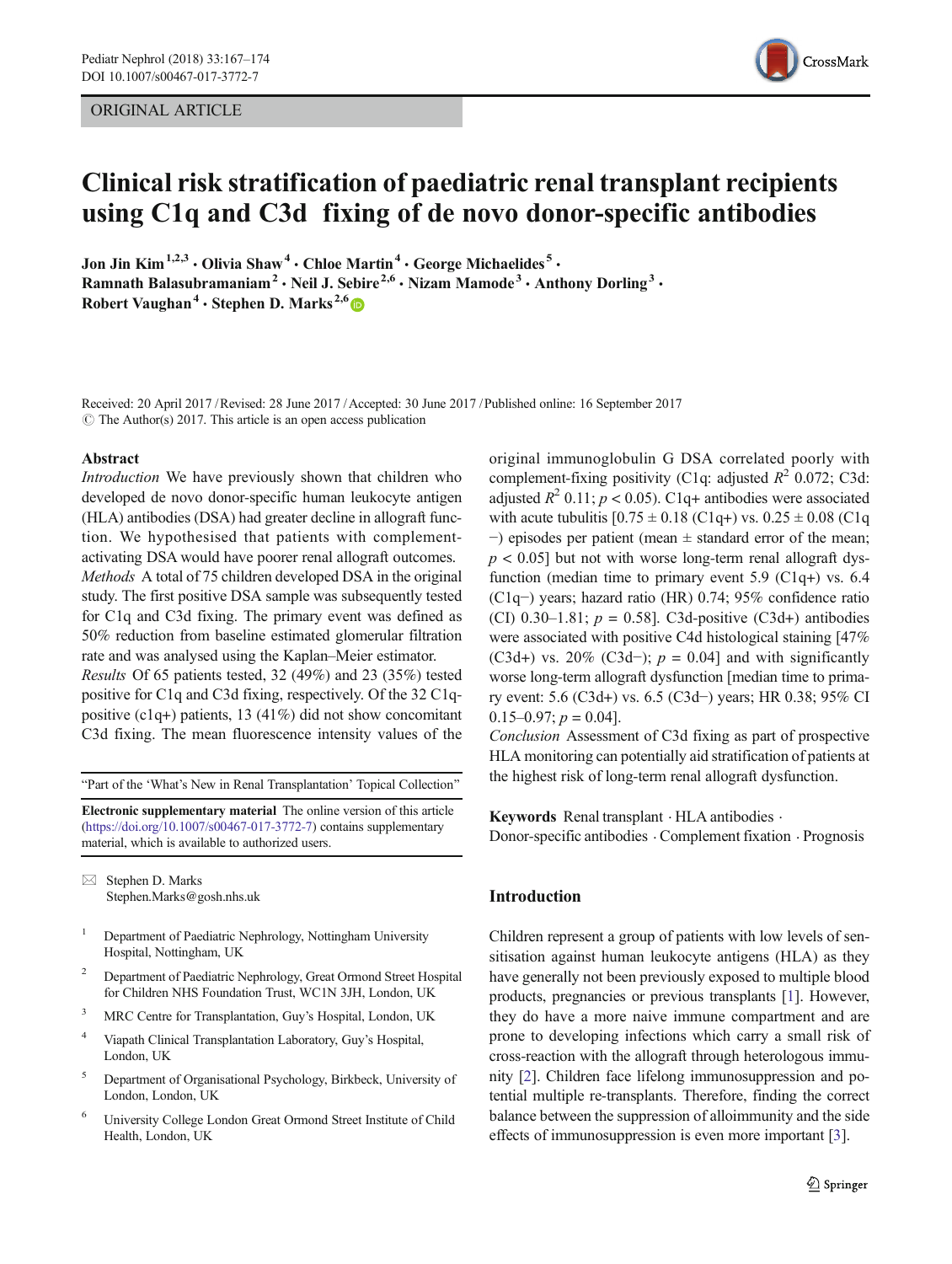ORIGINAL ARTICLE



# Clinical risk stratification of paediatric renal transplant recipients using C1q and C3d fixing of de novo donor-specific antibodies

Jon Jin Kim<sup>1,2,3</sup>  $\cdot$  Olivia Shaw<sup>4</sup>  $\cdot$  Chloe Martin<sup>4</sup>  $\cdot$  George Michaelides<sup>5</sup> $\cdot$ Ramnath Balasubramaniam<sup>2</sup> · Neil J. Sebire<sup>2,6</sup> · Nizam Mamode<sup>3</sup> · Anthony Dorling<sup>3</sup> · Robert Vaughan<sup>4</sup> · Stephen D. Marks<sup>2,6</sup>

Received: 20 April 2017 /Revised: 28 June 2017 /Accepted: 30 June 2017 /Published online: 16 September 2017  $\circ$  The Author(s) 2017. This article is an open access publication

## Abstract

Introduction We have previously shown that children who developed de novo donor-specific human leukocyte antigen (HLA) antibodies (DSA) had greater decline in allograft function. We hypothesised that patients with complementactivating DSA would have poorer renal allograft outcomes. Methods A total of 75 children developed DSA in the original study. The first positive DSA sample was subsequently tested for C1q and C3d fixing. The primary event was defined as 50% reduction from baseline estimated glomerular filtration rate and was analysed using the Kaplan–Meier estimator. Results Of 65 patients tested, 32 (49%) and 23 (35%) tested positive for C1q and C3d fixing, respectively. Of the 32 C1qpositive (c1q+) patients, 13 (41%) did not show concomitant C3d fixing. The mean fluorescence intensity values of the

"Part of the 'What's New in Renal Transplantation' Topical Collection"

Electronic supplementary material The online version of this article (<https://doi.org/10.1007/s00467-017-3772-7>) contains supplementary material, which is available to authorized users.

 $\boxtimes$  Stephen D. Marks [Stephen.Marks@gosh.nhs.uk](mailto:Stephen.Marks@gosh.nhs.uk)

- <sup>1</sup> Department of Paediatric Nephrology, Nottingham University Hospital, Nottingham, UK
- <sup>2</sup> Department of Paediatric Nephrology, Great Ormond Street Hospital for Children NHS Foundation Trust, WC1N 3JH, London, UK
- <sup>3</sup> MRC Centre for Transplantation, Guy's Hospital, London, UK
- <sup>4</sup> Viapath Clinical Transplantation Laboratory, Guy's Hospital, London, UK
- <sup>5</sup> Department of Organisational Psychology, Birkbeck, University of London, London, UK
- <sup>6</sup> University College London Great Ormond Street Institute of Child Health, London, UK

original immunoglobulin G DSA correlated poorly with complement-fixing positivity (C1q: adjusted  $R^2$  0.072; C3d: adjusted  $R^2$  0.11;  $p < 0.05$ ). C1q+ antibodies were associated with acute tubulitis  $[0.75 \pm 0.18 \, (C1q+)$  vs.  $0.25 \pm 0.08 \, (C1q)$ −) episodes per patient (mean ± standard error of the mean;  $p < 0.05$ ] but not with worse long-term renal allograft dysfunction (median time to primary event 5.9 (C1q+) vs. 6.4 (C1q−) years; hazard ratio (HR) 0.74; 95% confidence ratio (CI) 0.30–1.81;  $p = 0.58$ ]. C3d-positive (C3d+) antibodies were associated with positive C4d histological staining [47% (C3d+) vs. 20% (C3d−);  $p = 0.04$ ] and with significantly worse long-term allograft dysfunction [median time to primary event: 5.6 (C3d+) vs. 6.5 (C3d−) years; HR 0.38; 95% CI  $0.15-0.97; p = 0.04$ .

Conclusion Assessment of C3d fixing as part of prospective HLA monitoring can potentially aid stratification of patients at the highest risk of long-term renal allograft dysfunction.

Keywords Renal transplant . HLA antibodies . Donor-specific antibodies . Complement fixation . Prognosis

# Introduction

Children represent a group of patients with low levels of sensitisation against human leukocyte antigens (HLA) as they have generally not been previously exposed to multiple blood products, pregnancies or previous transplants [\[1](#page-6-0)]. However, they do have a more naive immune compartment and are prone to developing infections which carry a small risk of cross-reaction with the allograft through heterologous immunity [[2\]](#page-6-0). Children face lifelong immunosuppression and potential multiple re-transplants. Therefore, finding the correct balance between the suppression of alloimmunity and the side effects of immunosuppression is even more important [[3\]](#page-6-0).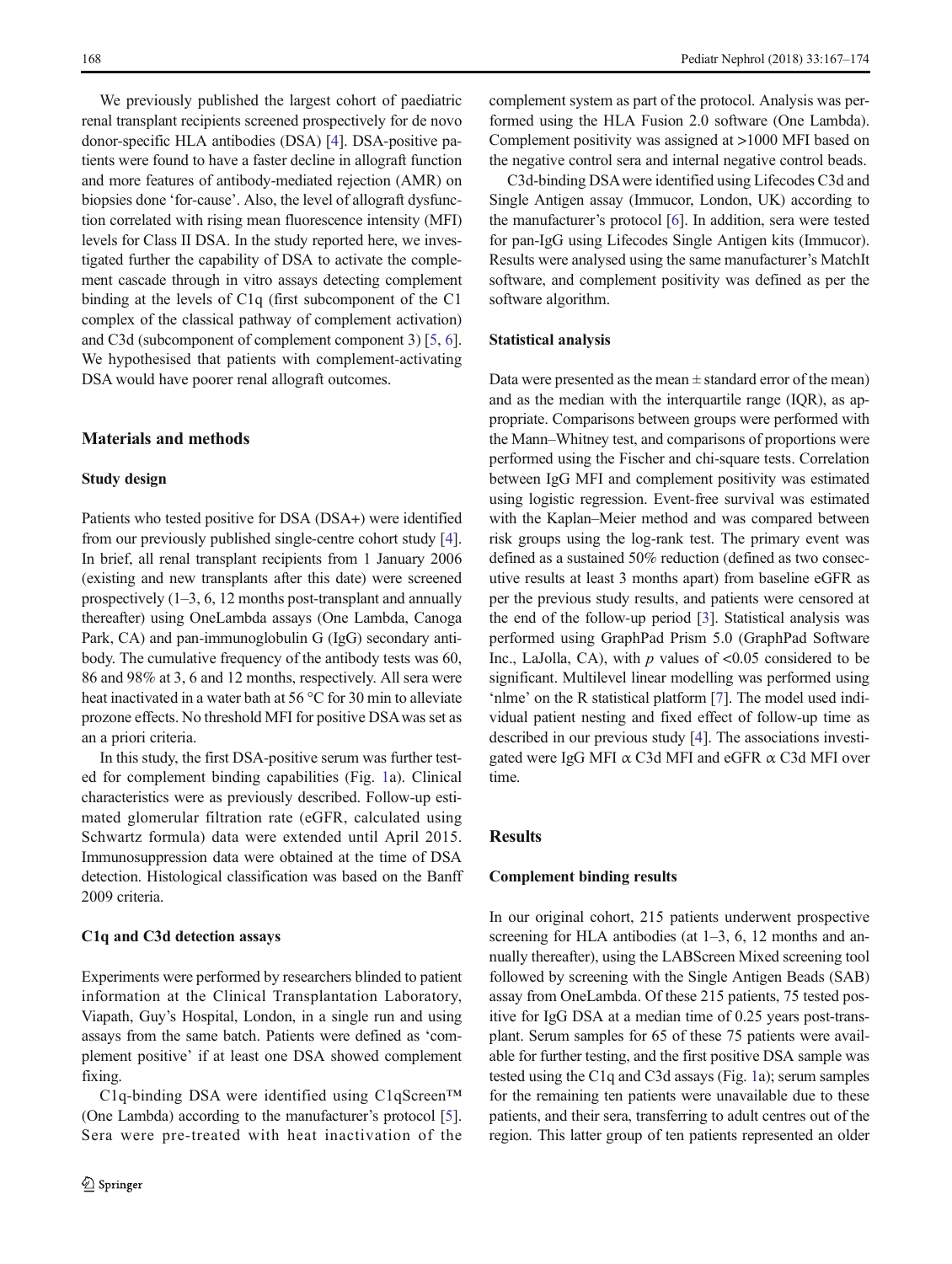We previously published the largest cohort of paediatric renal transplant recipients screened prospectively for de novo donor-specific HLA antibodies (DSA) [\[4](#page-6-0)]. DSA-positive patients were found to have a faster decline in allograft function and more features of antibody-mediated rejection (AMR) on biopsies done 'for-cause'. Also, the level of allograft dysfunction correlated with rising mean fluorescence intensity (MFI) levels for Class II DSA. In the study reported here, we investigated further the capability of DSA to activate the complement cascade through in vitro assays detecting complement binding at the levels of C1q (first subcomponent of the C1 complex of the classical pathway of complement activation) and C3d (subcomponent of complement component 3) [[5,](#page-6-0) [6\]](#page-6-0). We hypothesised that patients with complement-activating DSA would have poorer renal allograft outcomes.

# Materials and methods

### Study design

Patients who tested positive for DSA (DSA+) were identified from our previously published single-centre cohort study [[4\]](#page-6-0). In brief, all renal transplant recipients from 1 January 2006 (existing and new transplants after this date) were screened prospectively (1–3, 6, 12 months post-transplant and annually thereafter) using OneLambda assays (One Lambda, Canoga Park, CA) and pan-immunoglobulin G (IgG) secondary antibody. The cumulative frequency of the antibody tests was 60, 86 and 98% at 3, 6 and 12 months, respectively. All sera were heat inactivated in a water bath at 56 °C for 30 min to alleviate prozone effects. No threshold MFI for positive DSAwas set as an a priori criteria.

In this study, the first DSA-positive serum was further tested for complement binding capabilities (Fig. [1a](#page-2-0)). Clinical characteristics were as previously described. Follow-up estimated glomerular filtration rate (eGFR, calculated using Schwartz formula) data were extended until April 2015. Immunosuppression data were obtained at the time of DSA detection. Histological classification was based on the Banff 2009 criteria.

### C1q and C3d detection assays

Experiments were performed by researchers blinded to patient information at the Clinical Transplantation Laboratory, Viapath, Guy's Hospital, London, in a single run and using assays from the same batch. Patients were defined as 'complement positive' if at least one DSA showed complement fixing.

C1q-binding DSA were identified using C1qScreen™ (One Lambda) according to the manufacturer's protocol [[5\]](#page-6-0). Sera were pre-treated with heat inactivation of the complement system as part of the protocol. Analysis was performed using the HLA Fusion 2.0 software (One Lambda). Complement positivity was assigned at >1000 MFI based on the negative control sera and internal negative control beads.

C3d-binding DSAwere identified using Lifecodes C3d and Single Antigen assay (Immucor, London, UK) according to the manufacturer's protocol [\[6](#page-6-0)]. In addition, sera were tested for pan-IgG using Lifecodes Single Antigen kits (Immucor). Results were analysed using the same manufacturer's MatchIt software, and complement positivity was defined as per the software algorithm.

## Statistical analysis

Data were presented as the mean  $\pm$  standard error of the mean) and as the median with the interquartile range (IQR), as appropriate. Comparisons between groups were performed with the Mann–Whitney test, and comparisons of proportions were performed using the Fischer and chi-square tests. Correlation between IgG MFI and complement positivity was estimated using logistic regression. Event-free survival was estimated with the Kaplan–Meier method and was compared between risk groups using the log-rank test. The primary event was defined as a sustained 50% reduction (defined as two consecutive results at least 3 months apart) from baseline eGFR as per the previous study results, and patients were censored at the end of the follow-up period [\[3](#page-6-0)]. Statistical analysis was performed using GraphPad Prism 5.0 (GraphPad Software Inc., LaJolla, CA), with  $p$  values of <0.05 considered to be significant. Multilevel linear modelling was performed using 'nlme' on the R statistical platform [[7\]](#page-6-0). The model used individual patient nesting and fixed effect of follow-up time as described in our previous study [[4\]](#page-6-0). The associations investigated were IgG MFI α C3d MFI and eGFR α C3d MFI over time.

# Results

## Complement binding results

In our original cohort, 215 patients underwent prospective screening for HLA antibodies (at 1–3, 6, 12 months and annually thereafter), using the LABScreen Mixed screening tool followed by screening with the Single Antigen Beads (SAB) assay from OneLambda. Of these 215 patients, 75 tested positive for IgG DSA at a median time of 0.25 years post-transplant. Serum samples for 65 of these 75 patients were available for further testing, and the first positive DSA sample was tested using the C1q and C3d assays (Fig. [1a](#page-2-0)); serum samples for the remaining ten patients were unavailable due to these patients, and their sera, transferring to adult centres out of the region. This latter group of ten patients represented an older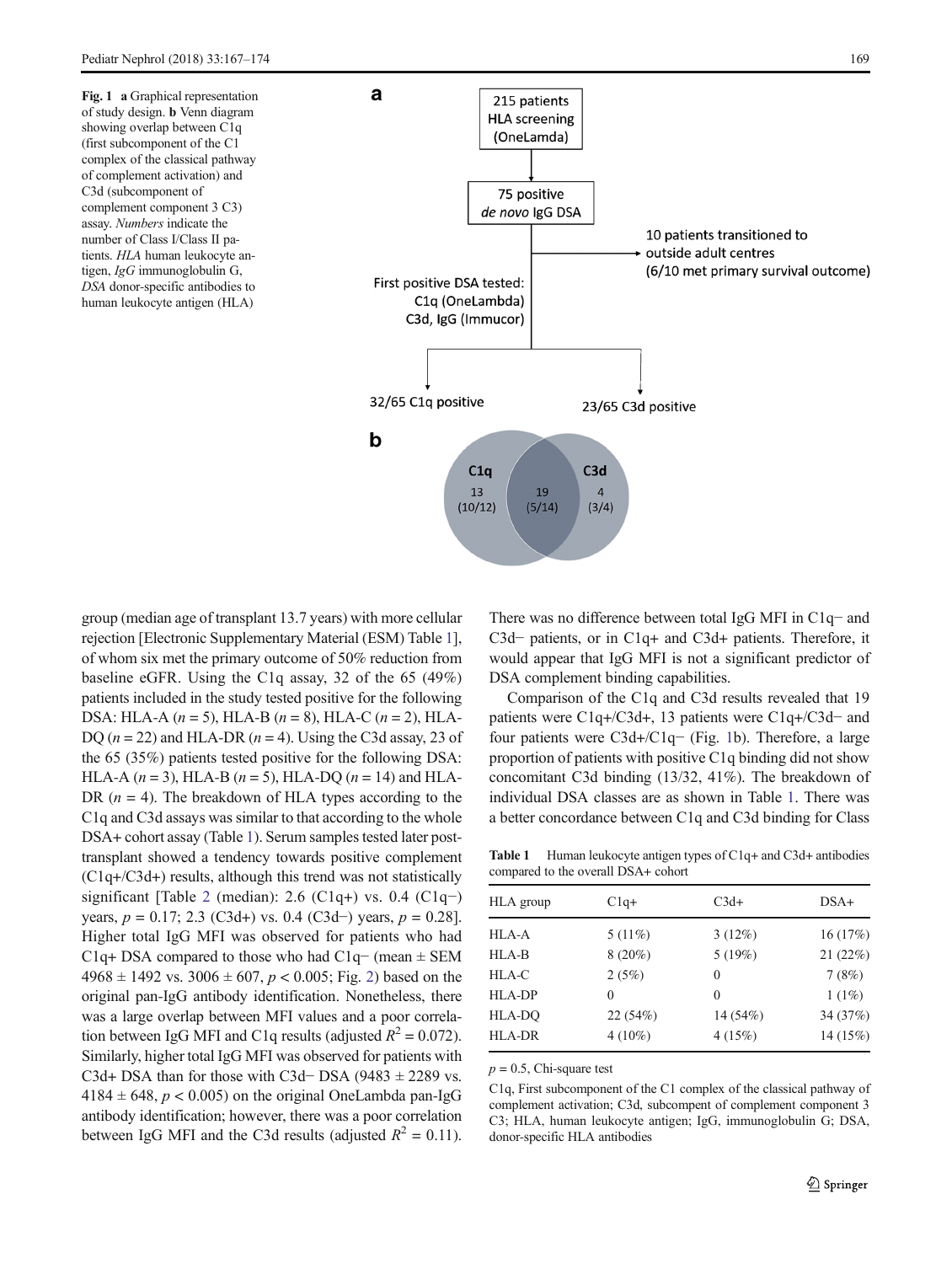<span id="page-2-0"></span>Fig. 1 a Graphical representation of study design. b Venn diagram showing overlap between C1q (first subcomponent of the C1 complex of the classical pathway of complement activation) and C3d (subcomponent of complement component 3 C3) assay. Numbers indicate the number of Class I/Class II patients. HLA human leukocyte antigen, IgG immunoglobulin G, DSA donor-specific antibodies to human leukocyte antigen (HLA)



group (median age of transplant 13.7 years) with more cellular rejection [Electronic Supplementary Material (ESM) Table 1], of whom six met the primary outcome of 50% reduction from baseline eGFR. Using the C1q assay, 32 of the 65 (49%) patients included in the study tested positive for the following DSA: HLA-A  $(n = 5)$ , HLA-B  $(n = 8)$ , HLA-C  $(n = 2)$ , HLA-DQ  $(n = 22)$  and HLA-DR  $(n = 4)$ . Using the C3d assay, 23 of the 65 (35%) patients tested positive for the following DSA: HLA-A  $(n = 3)$ , HLA-B  $(n = 5)$ , HLA-DO  $(n = 14)$  and HLA-DR  $(n = 4)$ . The breakdown of HLA types according to the C1q and C3d assays was similar to that according to the whole DSA+ cohort assay (Table 1). Serum samples tested later posttransplant showed a tendency towards positive complement (C1q+/C3d+) results, although this trend was not statistically significant [Table [2](#page-3-0) (median): 2.6 (C1q+) vs. 0.4 (C1q−) years,  $p = 0.17$ ; 2.3 (C3d+) vs. 0.4 (C3d−) years,  $p = 0.28$ ]. Higher total IgG MFI was observed for patients who had C1q+ DSA compared to those who had C1q− (mean ± SEM  $4968 \pm 1492$  $4968 \pm 1492$  vs.  $3006 \pm 607$ ,  $p < 0.005$ ; Fig. 2) based on the original pan-IgG antibody identification. Nonetheless, there was a large overlap between MFI values and a poor correlation between IgG MFI and C1q results (adjusted  $R^2 = 0.072$ ). Similarly, higher total IgG MFI was observed for patients with C3d+ DSA than for those with C3d– DSA (9483  $\pm$  2289 vs.  $4184 \pm 648$ ,  $p < 0.005$ ) on the original OneLambda pan-IgG antibody identification; however, there was a poor correlation between IgG MFI and the C3d results (adjusted  $R^2 = 0.11$ ).

There was no difference between total IgG MFI in C1q− and C3d− patients, or in C1q+ and C3d+ patients. Therefore, it would appear that IgG MFI is not a significant predictor of DSA complement binding capabilities.

Comparison of the C1q and C3d results revealed that 19 patients were C1q+/C3d+, 13 patients were C1q+/C3d− and four patients were C3d+/C1q− (Fig. 1b). Therefore, a large proportion of patients with positive C1q binding did not show concomitant C3d binding (13/32, 41%). The breakdown of individual DSA classes are as shown in Table 1. There was a better concordance between C1q and C3d binding for Class

Table 1 Human leukocyte antigen types of C1q+ and C3d+ antibodies compared to the overall DSA+ cohort

| HLA group     | $C1q+$    | $C3d+$     | $DSA+$   |  |
|---------------|-----------|------------|----------|--|
|               |           |            |          |  |
| HLA-A         | $5(11\%)$ | $3(12\%)$  | 16(17%)  |  |
| HLA-B         | $8(20\%)$ | 5(19%)     | 21(22%)  |  |
| HLA-C         | 2(5%)     | $\theta$   | 7(8%)    |  |
| HLA-DP        | $\theta$  | $\theta$   | $1(1\%)$ |  |
| HLA-DQ        | 22(54%)   | 14 $(54%)$ | 34 (37%) |  |
| <b>HLA-DR</b> | $4(10\%)$ | 4(15%)     | 14(15%)  |  |

 $p = 0.5$ , Chi-square test

C1q, First subcomponent of the C1 complex of the classical pathway of complement activation; C3d, subcompent of complement component 3 C3; HLA, human leukocyte antigen; IgG, immunoglobulin G; DSA, donor-specific HLA antibodies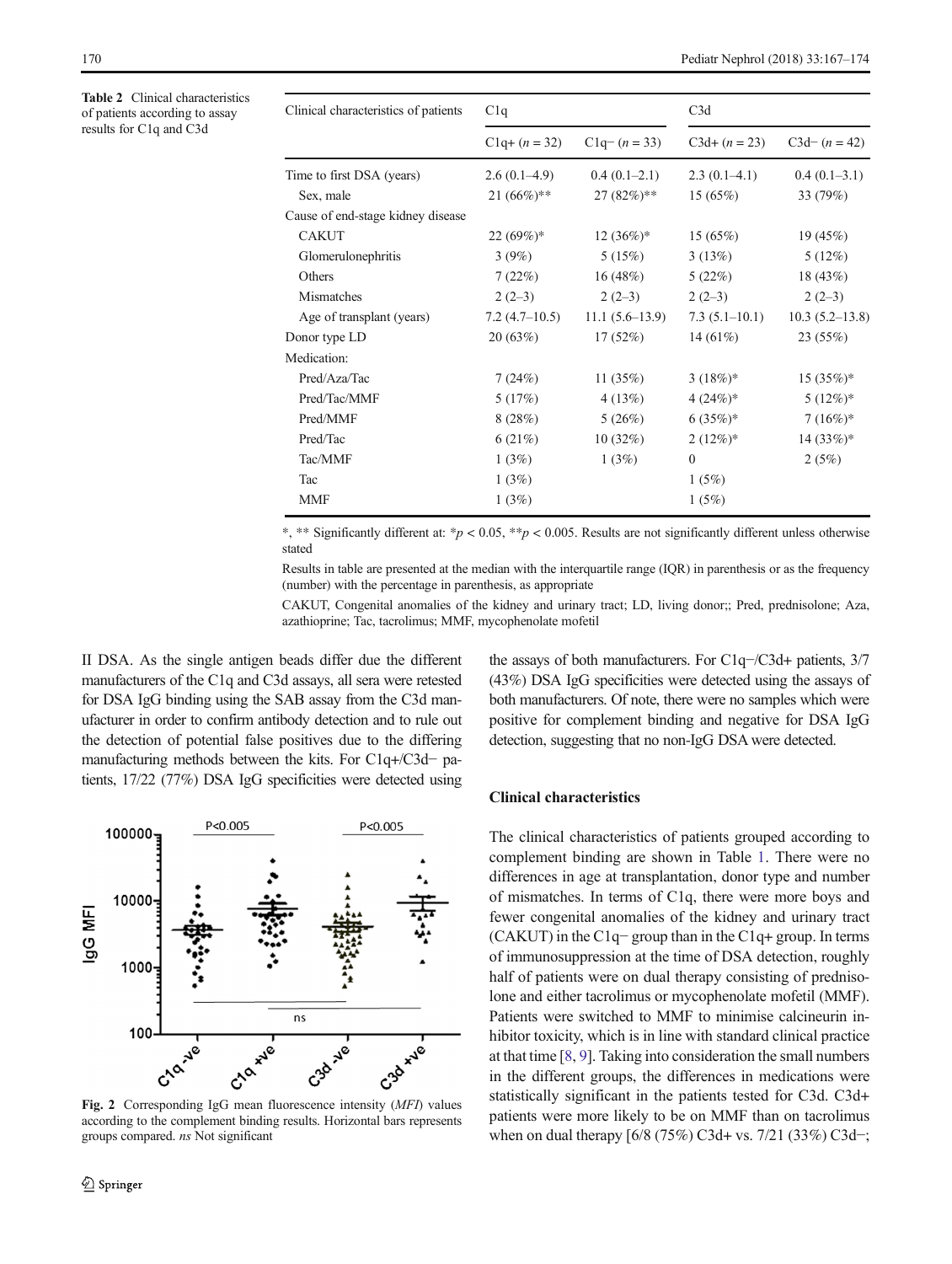<span id="page-3-0"></span>Table 2 Clinical characteristics of patients according to assay results for C1q and C3d

| Clinical characteristics of patients | C1q              |                  | C3d             |                    |
|--------------------------------------|------------------|------------------|-----------------|--------------------|
|                                      | $C1q + (n = 32)$ | $C1q - (n = 33)$ | $C3d+(n=23)$    | $C3d-(n=42)$       |
| Time to first DSA (years)            | $2.6(0.1-4.9)$   | $0.4(0.1-2.1)$   | $2.3(0.1-4.1)$  | $0.4(0.1-3.1)$     |
| Sex, male                            | $21 (66\%)$ **   | $27(82%)$ **     | 15(65%)         | 33 (79%)           |
| Cause of end-stage kidney disease    |                  |                  |                 |                    |
| <b>CAKUT</b>                         | $22(69%)^*$      | $12(36\%)*$      | 15(65%)         | 19(45%)            |
| Glomerulonephritis                   | 3(9%)            | 5(15%)           | 3(13%)          | $5(12\%)$          |
| Others                               | 7(22%)           | 16(48%)          | 5(22%)          | 18(43%)            |
| Mismatches                           | $2(2-3)$         | $2(2-3)$         | $2(2-3)$        | $2(2-3)$           |
| Age of transplant (years)            | $7.2(4.7-10.5)$  | $11.1(5.6-13.9)$ | $7.3(5.1-10.1)$ | $10.3(5.2 - 13.8)$ |
| Donor type LD                        | 20(63%)          | 17(52%)          | 14 $(61\%)$     | 23(55%)            |
| Medication:                          |                  |                  |                 |                    |
| Pred/Aza/Tac                         | 7(24%)           | 11 $(35%)$       | $3(18%)$ *      | $15(35%)$ *        |
| Pred/Tac/MMF                         | 5(17%)           | 4(13%)           | $4(24%)$ *      | $5(12\%)^*$        |
| Pred/MMF                             | 8(28%)           | 5(26%)           | $6(35%)$ *      | $7(16%)$ *         |
| Pred/Tac                             | 6(21%)           | 10(32%)          | $2(12\%)^*$     | $14(33%)$ *        |
| Tac/MMF                              | 1(3%)            | 1(3%)            | $\Omega$        | 2(5%)              |
| Tac                                  | 1(3%)            |                  | 1(5%)           |                    |
| <b>MMF</b>                           | 1(3%)            |                  | 1(5%)           |                    |

\*, \*\* Significantly different at: \* $p < 0.05$ , \*\* $p < 0.005$ . Results are not significantly different unless otherwise stated

Results in table are presented at the median with the interquartile range (IQR) in parenthesis or as the frequency (number) with the percentage in parenthesis, as appropriate

CAKUT, Congenital anomalies of the kidney and urinary tract; LD, living donor;; Pred, prednisolone; Aza, azathioprine; Tac, tacrolimus; MMF, mycophenolate mofetil

II DSA. As the single antigen beads differ due the different manufacturers of the C1q and C3d assays, all sera were retested for DSA IgG binding using the SAB assay from the C3d manufacturer in order to confirm antibody detection and to rule out the detection of potential false positives due to the differing manufacturing methods between the kits. For C1q+/C3d− patients, 17/22 (77%) DSA IgG specificities were detected using



Fig. 2 Corresponding IgG mean fluorescence intensity (MFI) values according to the complement binding results. Horizontal bars represents groups compared. ns Not significant

the assays of both manufacturers. For C1q−/C3d+ patients, 3/7 (43%) DSA IgG specificities were detected using the assays of both manufacturers. Of note, there were no samples which were positive for complement binding and negative for DSA IgG detection, suggesting that no non-IgG DSA were detected.

# Clinical characteristics

The clinical characteristics of patients grouped according to complement binding are shown in Table [1.](#page-2-0) There were no differences in age at transplantation, donor type and number of mismatches. In terms of C1q, there were more boys and fewer congenital anomalies of the kidney and urinary tract (CAKUT) in the C1q− group than in the C1q+ group. In terms of immunosuppression at the time of DSA detection, roughly half of patients were on dual therapy consisting of prednisolone and either tacrolimus or mycophenolate mofetil (MMF). Patients were switched to MMF to minimise calcineurin inhibitor toxicity, which is in line with standard clinical practice at that time [\[8](#page-6-0), [9](#page-6-0)]. Taking into consideration the small numbers in the different groups, the differences in medications were statistically significant in the patients tested for C3d. C3d+ patients were more likely to be on MMF than on tacrolimus when on dual therapy [6/8 (75%) C3d+ vs. 7/21 (33%) C3d−;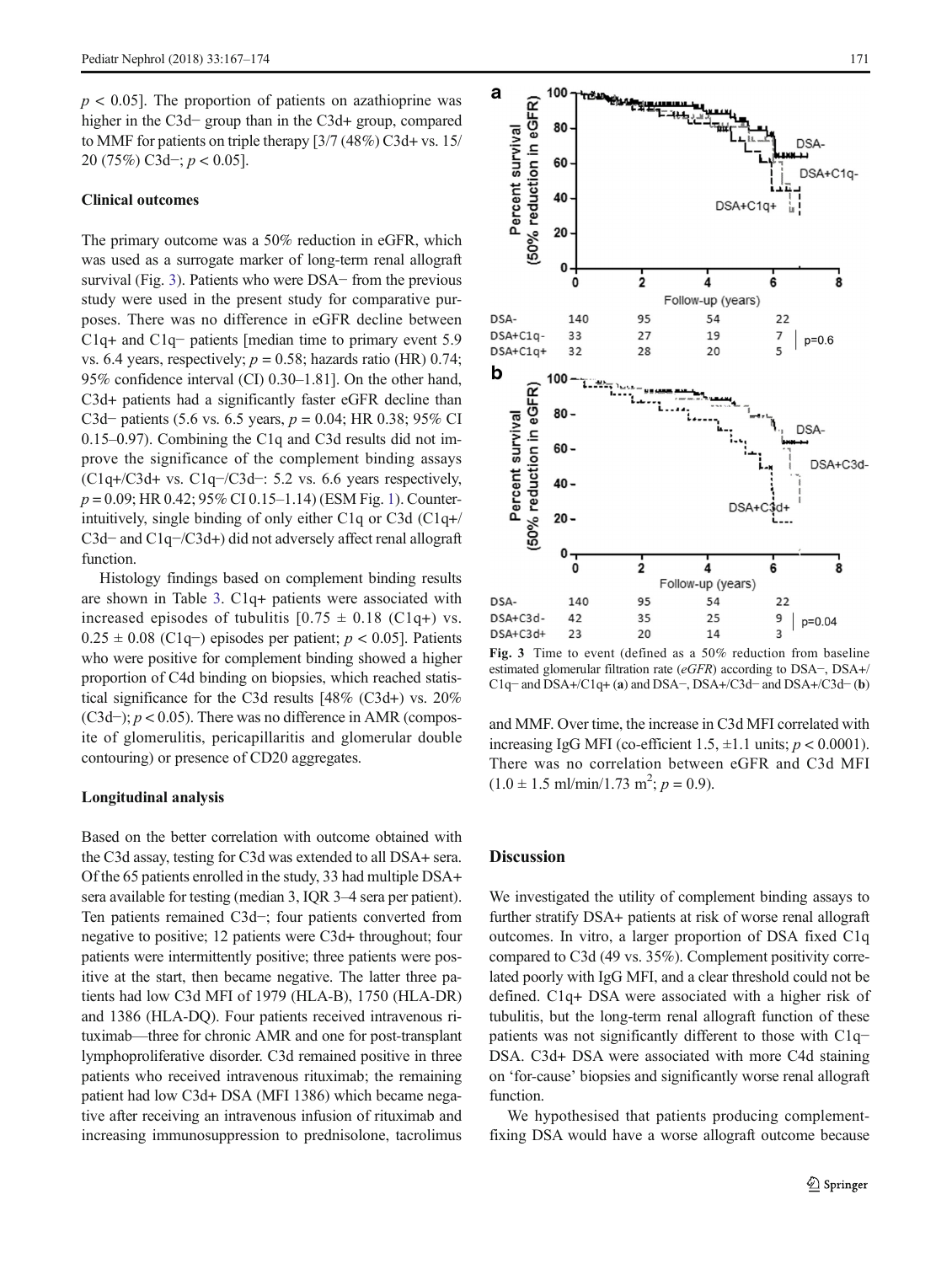$p < 0.05$ . The proportion of patients on azathioprine was higher in the C3d− group than in the C3d+ group, compared to MMF for patients on triple therapy [3/7 (48%) C3d+ vs. 15/ 20 (75%) C3d−; p < 0.05].

#### Clinical outcomes

The primary outcome was a 50% reduction in eGFR, which was used as a surrogate marker of long-term renal allograft survival (Fig. 3). Patients who were DSA− from the previous study were used in the present study for comparative purposes. There was no difference in eGFR decline between C1q+ and C1q− patients [median time to primary event 5.9 vs. 6.4 years, respectively;  $p = 0.58$ ; hazards ratio (HR) 0.74; 95% confidence interval (CI) 0.30–1.81]. On the other hand, C3d+ patients had a significantly faster eGFR decline than C3d– patients (5.6 vs. 6.5 years,  $p = 0.04$ ; HR 0.38; 95% CI 0.15–0.97). Combining the C1q and C3d results did not improve the significance of the complement binding assays (C1q+/C3d+ vs. C1q−/C3d−: 5.2 vs. 6.6 years respectively,  $p = 0.09$ ; HR 0.42; 95% CI 0.15–1.14) (ESM Fig. 1). Counterintuitively, single binding of only either C1q or C3d (C1q+/ C3d− and C1q−/C3d+) did not adversely affect renal allograft function.

Histology findings based on complement binding results are shown in Table [3](#page-5-0). C1q+ patients were associated with increased episodes of tubulitis  $[0.75 \pm 0.18 \text{ (C1q+)} \text{ vs.}$  $0.25 \pm 0.08$  (C1q−) episodes per patient;  $p < 0.05$ ]. Patients who were positive for complement binding showed a higher proportion of C4d binding on biopsies, which reached statistical significance for the C3d results [48% (C3d+) vs. 20% (C3d−);  $p < 0.05$ ). There was no difference in AMR (composite of glomerulitis, pericapillaritis and glomerular double contouring) or presence of CD20 aggregates.

## Longitudinal analysis

Based on the better correlation with outcome obtained with the C3d assay, testing for C3d was extended to all DSA+ sera. Of the 65 patients enrolled in the study, 33 had multiple DSA+ sera available for testing (median 3, IQR 3–4 sera per patient). Ten patients remained C3d−; four patients converted from negative to positive; 12 patients were C3d+ throughout; four patients were intermittently positive; three patients were positive at the start, then became negative. The latter three patients had low C3d MFI of 1979 (HLA-B), 1750 (HLA-DR) and 1386 (HLA-DQ). Four patients received intravenous rituximab—three for chronic AMR and one for post-transplant lymphoproliferative disorder. C3d remained positive in three patients who received intravenous rituximab; the remaining patient had low C3d+ DSA (MFI 1386) which became negative after receiving an intravenous infusion of rituximab and increasing immunosuppression to prednisolone, tacrolimus



Fig. 3 Time to event (defined as a 50% reduction from baseline estimated glomerular filtration rate (eGFR) according to DSA−, DSA+/ C1q− and DSA+/C1q+ (a) and DSA−, DSA+/C3d− and DSA+/C3d− (b)

and MMF. Over time, the increase in C3d MFI correlated with increasing IgG MFI (co-efficient 1.5,  $\pm$ 1.1 units;  $p < 0.0001$ ). There was no correlation between eGFR and C3d MFI  $(1.0 \pm 1.5 \text{ ml/min}/1.73 \text{ m}^2; p = 0.9)$ .

## **Discussion**

We investigated the utility of complement binding assays to further stratify DSA+ patients at risk of worse renal allograft outcomes. In vitro, a larger proportion of DSA fixed C1q compared to C3d (49 vs. 35%). Complement positivity correlated poorly with IgG MFI, and a clear threshold could not be defined. C1q+ DSA were associated with a higher risk of tubulitis, but the long-term renal allograft function of these patients was not significantly different to those with C1q− DSA. C3d+ DSA were associated with more C4d staining on 'for-cause' biopsies and significantly worse renal allograft function.

We hypothesised that patients producing complementfixing DSA would have a worse allograft outcome because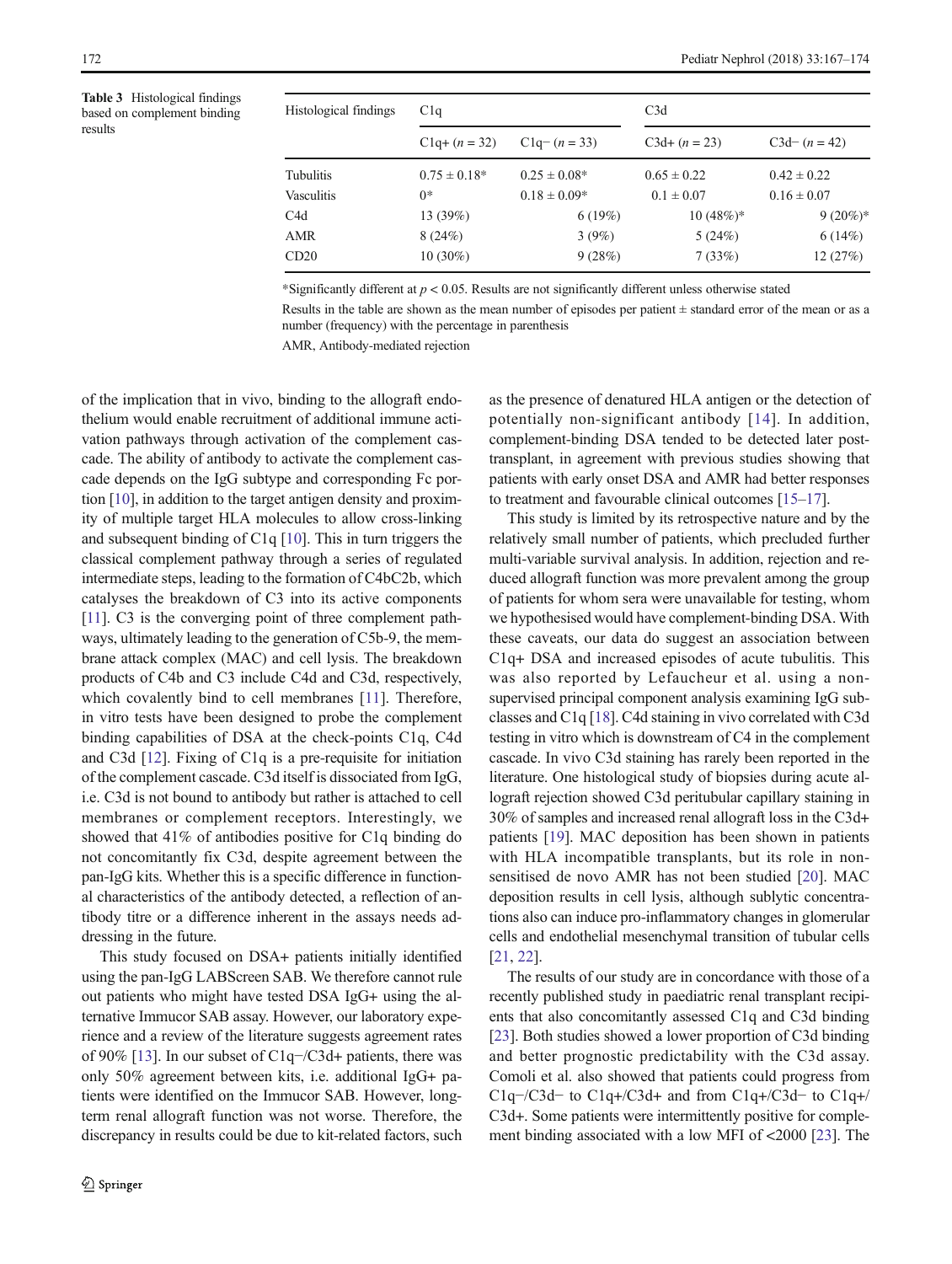<span id="page-5-0"></span>Table 3 Histological findings based on complement binding results

| Histological findings | C1q               |                  | C3d             |                 |
|-----------------------|-------------------|------------------|-----------------|-----------------|
|                       | $C1q + (n = 32)$  | $C1q - (n = 33)$ | $C3d+(n=23)$    | $C3d-(n=42)$    |
| Tubulitis             | $0.75 \pm 0.18^*$ | $0.25 \pm 0.08*$ | $0.65 \pm 0.22$ | $0.42 \pm 0.22$ |
| Vasculitis            | $0*$              | $0.18 \pm 0.09*$ | $0.1 \pm 0.07$  | $0.16 \pm 0.07$ |
| C <sub>4</sub> d      | 13(39%)           | 6(19%)           | $10(48%)$ *     | $9(20\%)^*$     |
| <b>AMR</b>            | 8(24%)            | 3(9%)            | 5(24%)          | 6(14%)          |
| CD20                  | $10(30\%)$        | 9(28%)           | 7(33%)          | 12(27%)         |

\*Significantly different at  $p < 0.05$ . Results are not significantly different unless otherwise stated

Results in the table are shown as the mean number of episodes per patient ± standard error of the mean or as a number (frequency) with the percentage in parenthesis

AMR, Antibody-mediated rejection

of the implication that in vivo, binding to the allograft endothelium would enable recruitment of additional immune activation pathways through activation of the complement cascade. The ability of antibody to activate the complement cascade depends on the IgG subtype and corresponding Fc portion [\[10](#page-6-0)], in addition to the target antigen density and proximity of multiple target HLA molecules to allow cross-linking and subsequent binding of C1q [\[10\]](#page-6-0). This in turn triggers the classical complement pathway through a series of regulated intermediate steps, leading to the formation of C4bC2b, which catalyses the breakdown of C3 into its active components [\[11\]](#page-6-0). C3 is the converging point of three complement pathways, ultimately leading to the generation of C5b-9, the membrane attack complex (MAC) and cell lysis. The breakdown products of C4b and C3 include C4d and C3d, respectively, which covalently bind to cell membranes [\[11](#page-6-0)]. Therefore, in vitro tests have been designed to probe the complement binding capabilities of DSA at the check-points C1q, C4d and C3d [[12](#page-6-0)]. Fixing of C1q is a pre-requisite for initiation of the complement cascade. C3d itself is dissociated from IgG, i.e. C3d is not bound to antibody but rather is attached to cell membranes or complement receptors. Interestingly, we showed that 41% of antibodies positive for C1q binding do not concomitantly fix C3d, despite agreement between the pan-IgG kits. Whether this is a specific difference in functional characteristics of the antibody detected, a reflection of antibody titre or a difference inherent in the assays needs addressing in the future.

This study focused on DSA+ patients initially identified using the pan-IgG LABScreen SAB. We therefore cannot rule out patients who might have tested DSA IgG+ using the alternative Immucor SAB assay. However, our laboratory experience and a review of the literature suggests agreement rates of 90% [[13](#page-7-0)]. In our subset of C1q−/C3d+ patients, there was only 50% agreement between kits, i.e. additional IgG+ patients were identified on the Immucor SAB. However, longterm renal allograft function was not worse. Therefore, the discrepancy in results could be due to kit-related factors, such as the presence of denatured HLA antigen or the detection of potentially non-significant antibody [[14\]](#page-7-0). In addition, complement-binding DSA tended to be detected later posttransplant, in agreement with previous studies showing that patients with early onset DSA and AMR had better responses to treatment and favourable clinical outcomes [[15](#page-7-0)–[17](#page-7-0)].

This study is limited by its retrospective nature and by the relatively small number of patients, which precluded further multi-variable survival analysis. In addition, rejection and reduced allograft function was more prevalent among the group of patients for whom sera were unavailable for testing, whom we hypothesised would have complement-binding DSA. With these caveats, our data do suggest an association between C1q+ DSA and increased episodes of acute tubulitis. This was also reported by Lefaucheur et al. using a nonsupervised principal component analysis examining IgG subclasses and C1q [\[18\]](#page-7-0). C4d staining in vivo correlated with C3d testing in vitro which is downstream of C4 in the complement cascade. In vivo C3d staining has rarely been reported in the literature. One histological study of biopsies during acute allograft rejection showed C3d peritubular capillary staining in 30% of samples and increased renal allograft loss in the C3d+ patients [\[19](#page-7-0)]. MAC deposition has been shown in patients with HLA incompatible transplants, but its role in nonsensitised de novo AMR has not been studied [\[20](#page-7-0)]. MAC deposition results in cell lysis, although sublytic concentrations also can induce pro-inflammatory changes in glomerular cells and endothelial mesenchymal transition of tubular cells [\[21](#page-7-0), [22\]](#page-7-0).

The results of our study are in concordance with those of a recently published study in paediatric renal transplant recipients that also concomitantly assessed C1q and C3d binding [\[23](#page-7-0)]. Both studies showed a lower proportion of C3d binding and better prognostic predictability with the C3d assay. Comoli et al. also showed that patients could progress from C1q−/C3d− to C1q+/C3d+ and from C1q+/C3d− to C1q+/ C3d+. Some patients were intermittently positive for complement binding associated with a low MFI of <2000 [[23\]](#page-7-0). The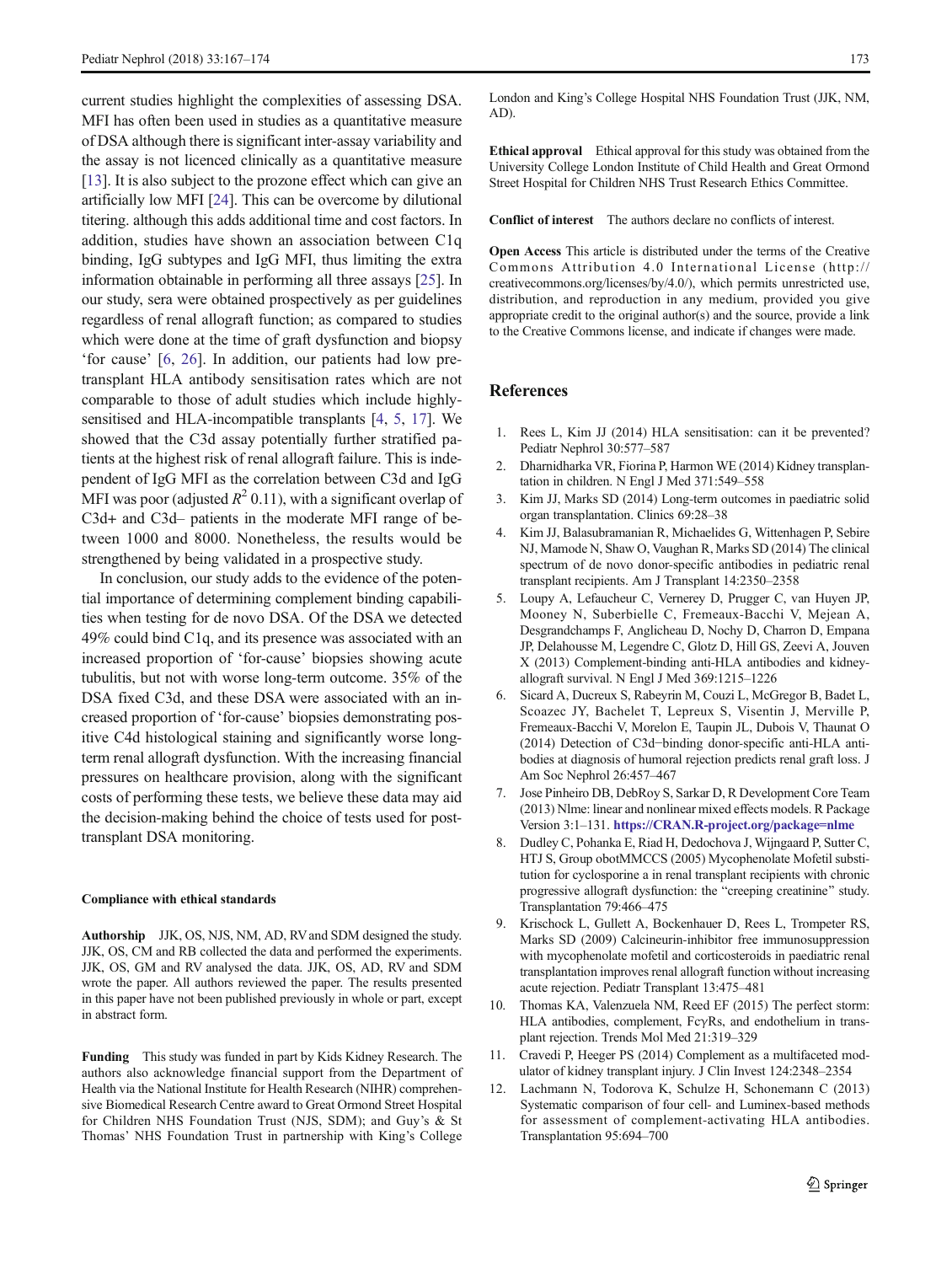<span id="page-6-0"></span>current studies highlight the complexities of assessing DSA. MFI has often been used in studies as a quantitative measure of DSA although there is significant inter-assay variability and the assay is not licenced clinically as a quantitative measure [\[13\]](#page-7-0). It is also subject to the prozone effect which can give an artificially low MFI [\[24](#page-7-0)]. This can be overcome by dilutional titering. although this adds additional time and cost factors. In addition, studies have shown an association between C1q binding, IgG subtypes and IgG MFI, thus limiting the extra information obtainable in performing all three assays [\[25\]](#page-7-0). In our study, sera were obtained prospectively as per guidelines regardless of renal allograft function; as compared to studies which were done at the time of graft dysfunction and biopsy 'for cause' [6, [26](#page-7-0)]. In addition, our patients had low pretransplant HLA antibody sensitisation rates which are not comparable to those of adult studies which include highlysensitised and HLA-incompatible transplants [4, 5, [17](#page-7-0)]. We showed that the C3d assay potentially further stratified patients at the highest risk of renal allograft failure. This is independent of IgG MFI as the correlation between C3d and IgG MFI was poor (adjusted  $R^2$  0.11), with a significant overlap of C3d+ and C3d– patients in the moderate MFI range of between 1000 and 8000. Nonetheless, the results would be strengthened by being validated in a prospective study.

In conclusion, our study adds to the evidence of the potential importance of determining complement binding capabilities when testing for de novo DSA. Of the DSA we detected 49% could bind C1q, and its presence was associated with an increased proportion of 'for-cause' biopsies showing acute tubulitis, but not with worse long-term outcome. 35% of the DSA fixed C3d, and these DSA were associated with an increased proportion of 'for-cause' biopsies demonstrating positive C4d histological staining and significantly worse longterm renal allograft dysfunction. With the increasing financial pressures on healthcare provision, along with the significant costs of performing these tests, we believe these data may aid the decision-making behind the choice of tests used for posttransplant DSA monitoring.

#### Compliance with ethical standards

Authorship JJK, OS, NJS, NM, AD, RV and SDM designed the study. JJK, OS, CM and RB collected the data and performed the experiments. JJK, OS, GM and RV analysed the data. JJK, OS, AD, RV and SDM wrote the paper. All authors reviewed the paper. The results presented in this paper have not been published previously in whole or part, except in abstract form.

Funding This study was funded in part by Kids Kidney Research. The authors also acknowledge financial support from the Department of Health via the National Institute for Health Research (NIHR) comprehensive Biomedical Research Centre award to Great Ormond Street Hospital for Children NHS Foundation Trust (NJS, SDM); and Guy's & St Thomas' NHS Foundation Trust in partnership with King's College London and King's College Hospital NHS Foundation Trust (JJK, NM, AD).

Ethical approval Ethical approval for this study was obtained from the University College London Institute of Child Health and Great Ormond Street Hospital for Children NHS Trust Research Ethics Committee.

Conflict of interest The authors declare no conflicts of interest.

Open Access This article is distributed under the terms of the Creative Commons Attribution 4.0 International License (http:// creativecommons.org/licenses/by/4.0/), which permits unrestricted use, distribution, and reproduction in any medium, provided you give appropriate credit to the original author(s) and the source, provide a link to the Creative Commons license, and indicate if changes were made.

# References

- 1. Rees L, Kim JJ (2014) HLA sensitisation: can it be prevented? Pediatr Nephrol 30:577–587
- 2. Dharnidharka VR, Fiorina P, Harmon WE (2014) Kidney transplantation in children. N Engl J Med 371:549–558
- 3. Kim JJ, Marks SD (2014) Long-term outcomes in paediatric solid organ transplantation. Clinics 69:28–38
- 4. Kim JJ, Balasubramanian R, Michaelides G, Wittenhagen P, Sebire NJ, Mamode N, Shaw O, Vaughan R, Marks SD (2014) The clinical spectrum of de novo donor-specific antibodies in pediatric renal transplant recipients. Am J Transplant 14:2350–2358
- 5. Loupy A, Lefaucheur C, Vernerey D, Prugger C, van Huyen JP, Mooney N, Suberbielle C, Fremeaux-Bacchi V, Mejean A, Desgrandchamps F, Anglicheau D, Nochy D, Charron D, Empana JP, Delahousse M, Legendre C, Glotz D, Hill GS, Zeevi A, Jouven X (2013) Complement-binding anti-HLA antibodies and kidneyallograft survival. N Engl J Med 369:1215–1226
- 6. Sicard A, Ducreux S, Rabeyrin M, Couzi L, McGregor B, Badet L, Scoazec JY, Bachelet T, Lepreux S, Visentin J, Merville P, Fremeaux-Bacchi V, Morelon E, Taupin JL, Dubois V, Thaunat O (2014) Detection of C3d−binding donor-specific anti-HLA antibodies at diagnosis of humoral rejection predicts renal graft loss. J Am Soc Nephrol 26:457–467
- 7. Jose Pinheiro DB, DebRoy S, Sarkar D, R Development Core Team (2013) Nlme: linear and nonlinear mixed effects models. R Package Version 3:1–131. [https://CRAN.R-project.org/package=nlme](https://cran.r-project.org/package=nlme)
- 8. Dudley C, Pohanka E, Riad H, Dedochova J, Wijngaard P, Sutter C, HTJ S, Group obotMMCCS (2005) Mycophenolate Mofetil substitution for cyclosporine a in renal transplant recipients with chronic progressive allograft dysfunction: the "creeping creatinine" study. Transplantation 79:466–475
- 9. Krischock L, Gullett A, Bockenhauer D, Rees L, Trompeter RS, Marks SD (2009) Calcineurin-inhibitor free immunosuppression with mycophenolate mofetil and corticosteroids in paediatric renal transplantation improves renal allograft function without increasing acute rejection. Pediatr Transplant 13:475–481
- 10. Thomas KA, Valenzuela NM, Reed EF (2015) The perfect storm: HLA antibodies, complement, FcγRs, and endothelium in transplant rejection. Trends Mol Med 21:319–329
- 11. Cravedi P, Heeger PS (2014) Complement as a multifaceted modulator of kidney transplant injury. J Clin Invest 124:2348–2354
- 12. Lachmann N, Todorova K, Schulze H, Schonemann C (2013) Systematic comparison of four cell- and Luminex-based methods for assessment of complement-activating HLA antibodies. Transplantation 95:694–700